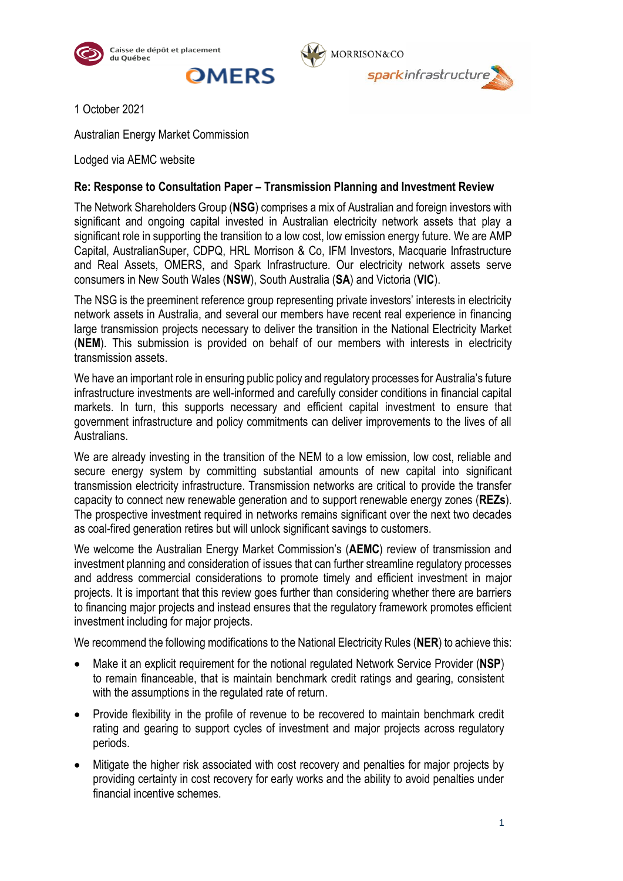





1 October 2021

Australian Energy Market Commission

Lodged via AEMC website

## **Re: Response to Consultation Paper – Transmission Planning and Investment Review**

The Network Shareholders Group (**NSG**) comprises a mix of Australian and foreign investors with significant and ongoing capital invested in Australian electricity network assets that play a significant role in supporting the transition to a low cost, low emission energy future. We are AMP Capital, AustralianSuper, CDPQ, HRL Morrison & Co, IFM Investors, Macquarie Infrastructure and Real Assets, OMERS, and Spark Infrastructure. Our electricity network assets serve consumers in New South Wales (**NSW**), South Australia (**SA**) and Victoria (**VIC**).

The NSG is the preeminent reference group representing private investors' interests in electricity network assets in Australia, and several our members have recent real experience in financing large transmission projects necessary to deliver the transition in the National Electricity Market (**NEM**). This submission is provided on behalf of our members with interests in electricity transmission assets.

We have an important role in ensuring public policy and regulatory processes for Australia's future infrastructure investments are well-informed and carefully consider conditions in financial capital markets. In turn, this supports necessary and efficient capital investment to ensure that government infrastructure and policy commitments can deliver improvements to the lives of all Australians.

We are already investing in the transition of the NEM to a low emission, low cost, reliable and secure energy system by committing substantial amounts of new capital into significant transmission electricity infrastructure. Transmission networks are critical to provide the transfer capacity to connect new renewable generation and to support renewable energy zones (**REZs**). The prospective investment required in networks remains significant over the next two decades as coal-fired generation retires but will unlock significant savings to customers.

We welcome the Australian Energy Market Commission's (**AEMC**) review of transmission and investment planning and consideration of issues that can further streamline regulatory processes and address commercial considerations to promote timely and efficient investment in major projects. It is important that this review goes further than considering whether there are barriers to financing major projects and instead ensures that the regulatory framework promotes efficient investment including for major projects.

We recommend the following modifications to the National Electricity Rules (**NER**) to achieve this:

- Make it an explicit requirement for the notional regulated Network Service Provider (**NSP**) to remain financeable, that is maintain benchmark credit ratings and gearing, consistent with the assumptions in the regulated rate of return.
- Provide flexibility in the profile of revenue to be recovered to maintain benchmark credit rating and gearing to support cycles of investment and major projects across regulatory periods.
- Mitigate the higher risk associated with cost recovery and penalties for major projects by providing certainty in cost recovery for early works and the ability to avoid penalties under financial incentive schemes.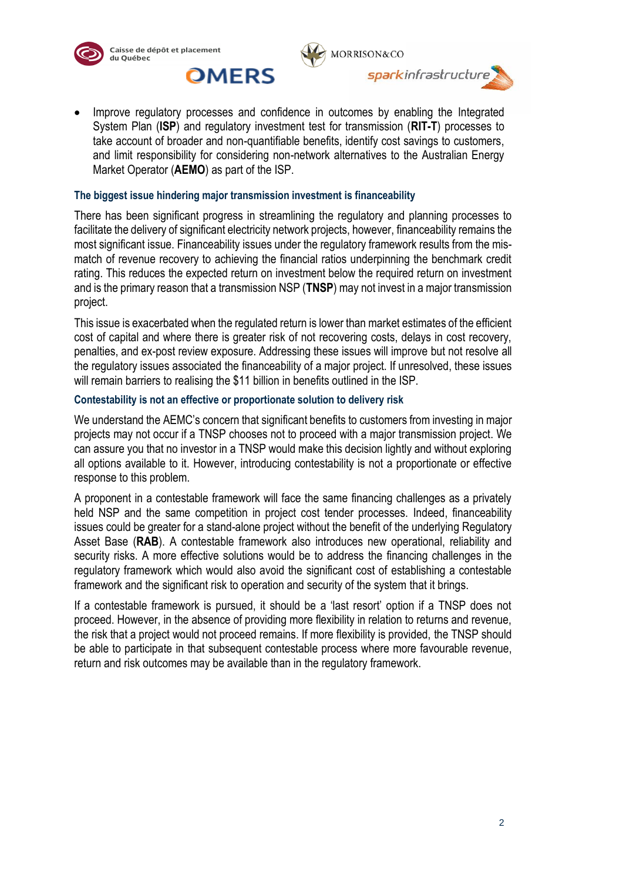

Market Operator (**AEMO**) as part of the ISP.







#### **The biggest issue hindering major transmission investment is financeability**

There has been significant progress in streamlining the regulatory and planning processes to facilitate the delivery of significant electricity network projects, however, financeability remains the most significant issue. Financeability issues under the regulatory framework results from the mismatch of revenue recovery to achieving the financial ratios underpinning the benchmark credit rating. This reduces the expected return on investment below the required return on investment and is the primary reason that a transmission NSP (**TNSP**) may not invest in a major transmission project.

This issue is exacerbated when the regulated return is lower than market estimates of the efficient cost of capital and where there is greater risk of not recovering costs, delays in cost recovery, penalties, and ex-post review exposure. Addressing these issues will improve but not resolve all the regulatory issues associated the financeability of a major project. If unresolved, these issues will remain barriers to realising the \$11 billion in benefits outlined in the ISP.

#### **Contestability is not an effective or proportionate solution to delivery risk**

We understand the AEMC's concern that significant benefits to customers from investing in major projects may not occur if a TNSP chooses not to proceed with a major transmission project. We can assure you that no investor in a TNSP would make this decision lightly and without exploring all options available to it. However, introducing contestability is not a proportionate or effective response to this problem.

A proponent in a contestable framework will face the same financing challenges as a privately held NSP and the same competition in project cost tender processes. Indeed, financeability issues could be greater for a stand-alone project without the benefit of the underlying Regulatory Asset Base (**RAB**). A contestable framework also introduces new operational, reliability and security risks. A more effective solutions would be to address the financing challenges in the regulatory framework which would also avoid the significant cost of establishing a contestable framework and the significant risk to operation and security of the system that it brings.

If a contestable framework is pursued, it should be a 'last resort' option if a TNSP does not proceed. However, in the absence of providing more flexibility in relation to returns and revenue, the risk that a project would not proceed remains. If more flexibility is provided, the TNSP should be able to participate in that subsequent contestable process where more favourable revenue, return and risk outcomes may be available than in the regulatory framework.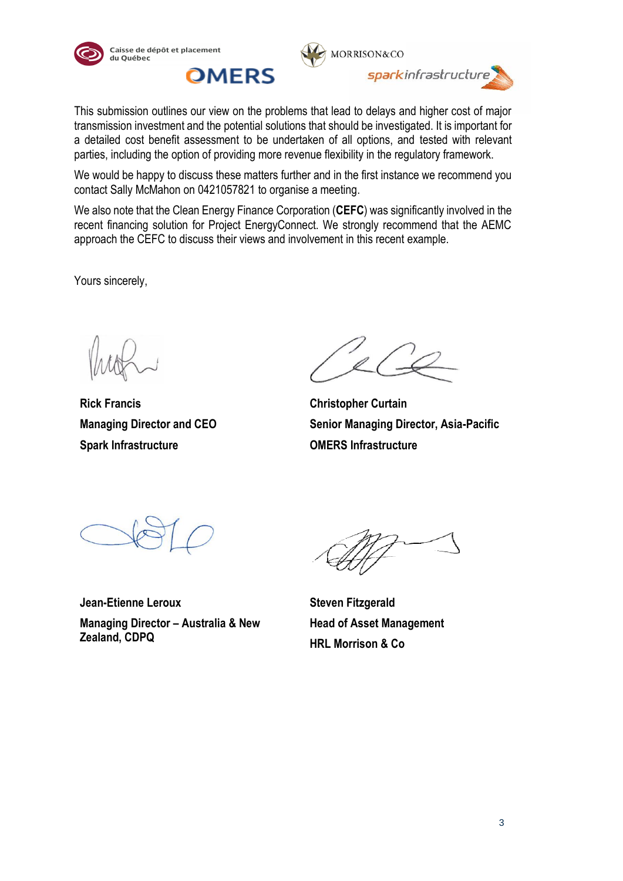





This submission outlines our view on the problems that lead to delays and higher cost of major transmission investment and the potential solutions that should be investigated. It is important for a detailed cost benefit assessment to be undertaken of all options, and tested with relevant parties, including the option of providing more revenue flexibility in the regulatory framework.

We would be happy to discuss these matters further and in the first instance we recommend you contact Sally McMahon on 0421057821 to organise a meeting.

We also note that the Clean Energy Finance Corporation (**CEFC**) was significantly involved in the recent financing solution for Project EnergyConnect. We strongly recommend that the AEMC approach the CEFC to discuss their views and involvement in this recent example.

Yours sincerely,

**Rick Francis Managing Director and CEO Spark Infrastructure**

**Christopher Curtain Senior Managing Director, Asia-Pacific OMERS Infrastructure**

**Jean-Etienne Leroux Managing Director – Australia & New Zealand, CDPQ**

**Steven Fitzgerald Head of Asset Management HRL Morrison & Co**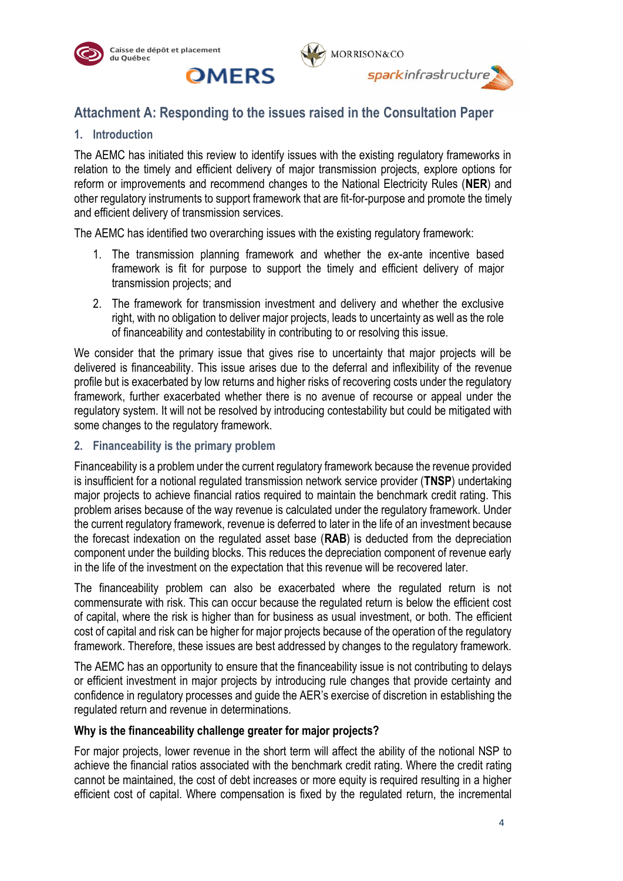





# **Attachment A: Responding to the issues raised in the Consultation Paper**

## **1. Introduction**

The AEMC has initiated this review to identify issues with the existing regulatory frameworks in relation to the timely and efficient delivery of major transmission projects, explore options for reform or improvements and recommend changes to the National Electricity Rules (**NER**) and other regulatory instruments to support framework that are fit-for-purpose and promote the timely and efficient delivery of transmission services.

The AEMC has identified two overarching issues with the existing regulatory framework:

- 1. The transmission planning framework and whether the ex-ante incentive based framework is fit for purpose to support the timely and efficient delivery of major transmission projects; and
- 2. The framework for transmission investment and delivery and whether the exclusive right, with no obligation to deliver major projects, leads to uncertainty as well as the role of financeability and contestability in contributing to or resolving this issue.

We consider that the primary issue that gives rise to uncertainty that major projects will be delivered is financeability. This issue arises due to the deferral and inflexibility of the revenue profile but is exacerbated by low returns and higher risks of recovering costs under the regulatory framework, further exacerbated whether there is no avenue of recourse or appeal under the regulatory system. It will not be resolved by introducing contestability but could be mitigated with some changes to the regulatory framework.

#### **2. Financeability is the primary problem**

Financeability is a problem under the current regulatory framework because the revenue provided is insufficient for a notional regulated transmission network service provider (**TNSP**) undertaking major projects to achieve financial ratios required to maintain the benchmark credit rating. This problem arises because of the way revenue is calculated under the regulatory framework. Under the current regulatory framework, revenue is deferred to later in the life of an investment because the forecast indexation on the regulated asset base (**RAB**) is deducted from the depreciation component under the building blocks. This reduces the depreciation component of revenue early in the life of the investment on the expectation that this revenue will be recovered later.

The financeability problem can also be exacerbated where the regulated return is not commensurate with risk. This can occur because the regulated return is below the efficient cost of capital, where the risk is higher than for business as usual investment, or both. The efficient cost of capital and risk can be higher for major projects because of the operation of the regulatory framework. Therefore, these issues are best addressed by changes to the regulatory framework.

The AEMC has an opportunity to ensure that the financeability issue is not contributing to delays or efficient investment in major projects by introducing rule changes that provide certainty and confidence in regulatory processes and guide the AER's exercise of discretion in establishing the regulated return and revenue in determinations.

## **Why is the financeability challenge greater for major projects?**

For major projects, lower revenue in the short term will affect the ability of the notional NSP to achieve the financial ratios associated with the benchmark credit rating. Where the credit rating cannot be maintained, the cost of debt increases or more equity is required resulting in a higher efficient cost of capital. Where compensation is fixed by the regulated return, the incremental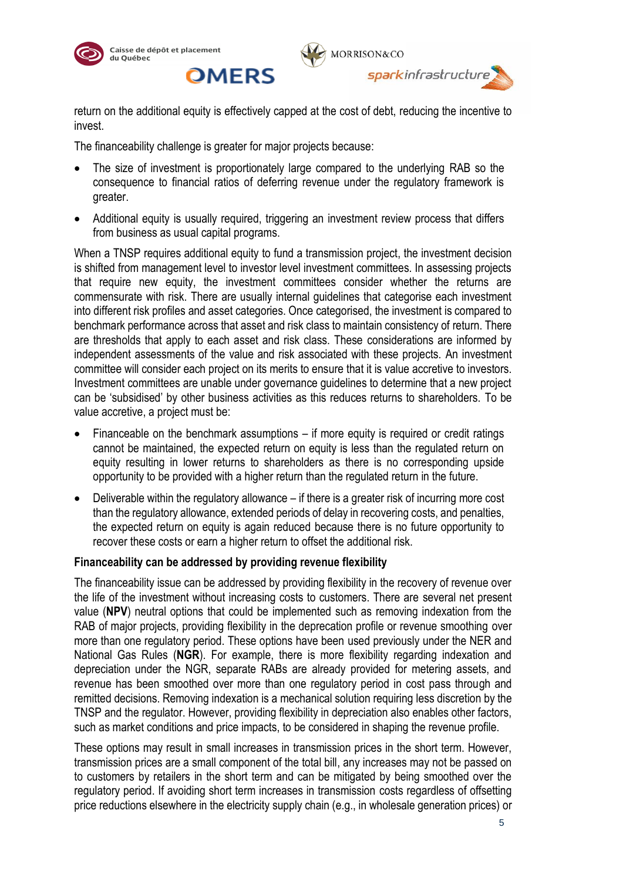



return on the additional equity is effectively capped at the cost of debt, reducing the incentive to invest.

The financeability challenge is greater for major projects because:

**OMERS** 

- The size of investment is proportionately large compared to the underlying RAB so the consequence to financial ratios of deferring revenue under the regulatory framework is greater.
- Additional equity is usually required, triggering an investment review process that differs from business as usual capital programs.

When a TNSP requires additional equity to fund a transmission project, the investment decision is shifted from management level to investor level investment committees. In assessing projects that require new equity, the investment committees consider whether the returns are commensurate with risk. There are usually internal guidelines that categorise each investment into different risk profiles and asset categories. Once categorised, the investment is compared to benchmark performance across that asset and risk class to maintain consistency of return. There are thresholds that apply to each asset and risk class. These considerations are informed by independent assessments of the value and risk associated with these projects. An investment committee will consider each project on its merits to ensure that it is value accretive to investors. Investment committees are unable under governance guidelines to determine that a new project can be 'subsidised' by other business activities as this reduces returns to shareholders. To be value accretive, a project must be:

- Financeable on the benchmark assumptions if more equity is required or credit ratings cannot be maintained, the expected return on equity is less than the regulated return on equity resulting in lower returns to shareholders as there is no corresponding upside opportunity to be provided with a higher return than the regulated return in the future.
- Deliverable within the regulatory allowance if there is a greater risk of incurring more cost than the regulatory allowance, extended periods of delay in recovering costs, and penalties, the expected return on equity is again reduced because there is no future opportunity to recover these costs or earn a higher return to offset the additional risk.

## **Financeability can be addressed by providing revenue flexibility**

The financeability issue can be addressed by providing flexibility in the recovery of revenue over the life of the investment without increasing costs to customers. There are several net present value (**NPV**) neutral options that could be implemented such as removing indexation from the RAB of major projects, providing flexibility in the deprecation profile or revenue smoothing over more than one regulatory period. These options have been used previously under the NER and National Gas Rules (**NGR**). For example, there is more flexibility regarding indexation and depreciation under the NGR, separate RABs are already provided for metering assets, and revenue has been smoothed over more than one regulatory period in cost pass through and remitted decisions. Removing indexation is a mechanical solution requiring less discretion by the TNSP and the regulator. However, providing flexibility in depreciation also enables other factors, such as market conditions and price impacts, to be considered in shaping the revenue profile.

These options may result in small increases in transmission prices in the short term. However, transmission prices are a small component of the total bill, any increases may not be passed on to customers by retailers in the short term and can be mitigated by being smoothed over the regulatory period. If avoiding short term increases in transmission costs regardless of offsetting price reductions elsewhere in the electricity supply chain (e.g., in wholesale generation prices) or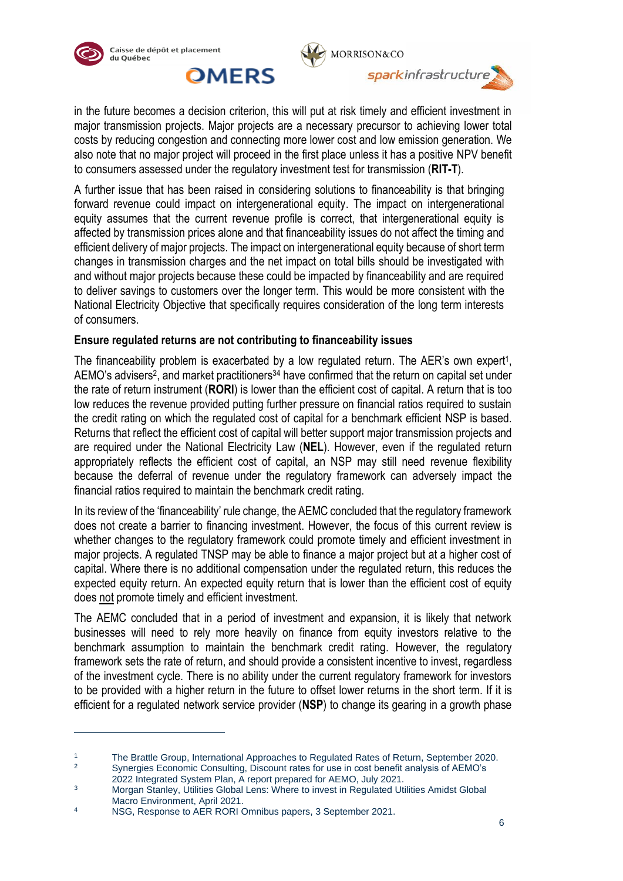



in the future becomes a decision criterion, this will put at risk timely and efficient investment in major transmission projects. Major projects are a necessary precursor to achieving lower total costs by reducing congestion and connecting more lower cost and low emission generation. We also note that no major project will proceed in the first place unless it has a positive NPV benefit to consumers assessed under the regulatory investment test for transmission (**RIT-T**).

A further issue that has been raised in considering solutions to financeability is that bringing forward revenue could impact on intergenerational equity. The impact on intergenerational equity assumes that the current revenue profile is correct, that intergenerational equity is affected by transmission prices alone and that financeability issues do not affect the timing and efficient delivery of major projects. The impact on intergenerational equity because of short term changes in transmission charges and the net impact on total bills should be investigated with and without major projects because these could be impacted by financeability and are required to deliver savings to customers over the longer term. This would be more consistent with the National Electricity Objective that specifically requires consideration of the long term interests of consumers.

## **Ensure regulated returns are not contributing to financeability issues**

The financeability problem is exacerbated by a low regulated return. The AER's own expert<sup>1</sup>, AEMO's advisers<sup>2</sup>, and market practitioners<sup>34</sup> have confirmed that the return on capital set under the rate of return instrument (**RORI**) is lower than the efficient cost of capital. A return that is too low reduces the revenue provided putting further pressure on financial ratios required to sustain the credit rating on which the regulated cost of capital for a benchmark efficient NSP is based. Returns that reflect the efficient cost of capital will better support major transmission projects and are required under the National Electricity Law (**NEL**). However, even if the regulated return appropriately reflects the efficient cost of capital, an NSP may still need revenue flexibility because the deferral of revenue under the regulatory framework can adversely impact the financial ratios required to maintain the benchmark credit rating.

In its review of the 'financeability' rule change, the AEMC concluded that the regulatory framework does not create a barrier to financing investment. However, the focus of this current review is whether changes to the regulatory framework could promote timely and efficient investment in major projects. A regulated TNSP may be able to finance a major project but at a higher cost of capital. Where there is no additional compensation under the regulated return, this reduces the expected equity return. An expected equity return that is lower than the efficient cost of equity does not promote timely and efficient investment.

The AEMC concluded that in a period of investment and expansion, it is likely that network businesses will need to rely more heavily on finance from equity investors relative to the benchmark assumption to maintain the benchmark credit rating. However, the regulatory framework sets the rate of return, and should provide a consistent incentive to invest, regardless of the investment cycle. There is no ability under the current regulatory framework for investors to be provided with a higher return in the future to offset lower returns in the short term. If it is efficient for a regulated network service provider (**NSP**) to change its gearing in a growth phase

<sup>&</sup>lt;sup>1</sup> The Brattle Group, International Approaches to Regulated Rates of Return, September 2020.<br><sup>2</sup> Sypergies Economic Consulting, Discount rates for use in cost bonefit applyeis of AEMO's

<sup>2</sup> Synergies Economic Consulting, Discount rates for use in cost benefit analysis of AEMO's 2022 Integrated System Plan, A report prepared for AEMO, July 2021.

<sup>&</sup>lt;sup>3</sup> Morgan Stanley, Utilities Global Lens: Where to invest in Regulated Utilities Amidst Global Macro Environment, April 2021.

<sup>&</sup>lt;sup>4</sup> NSG, Response to AER RORI Omnibus papers, 3 September 2021.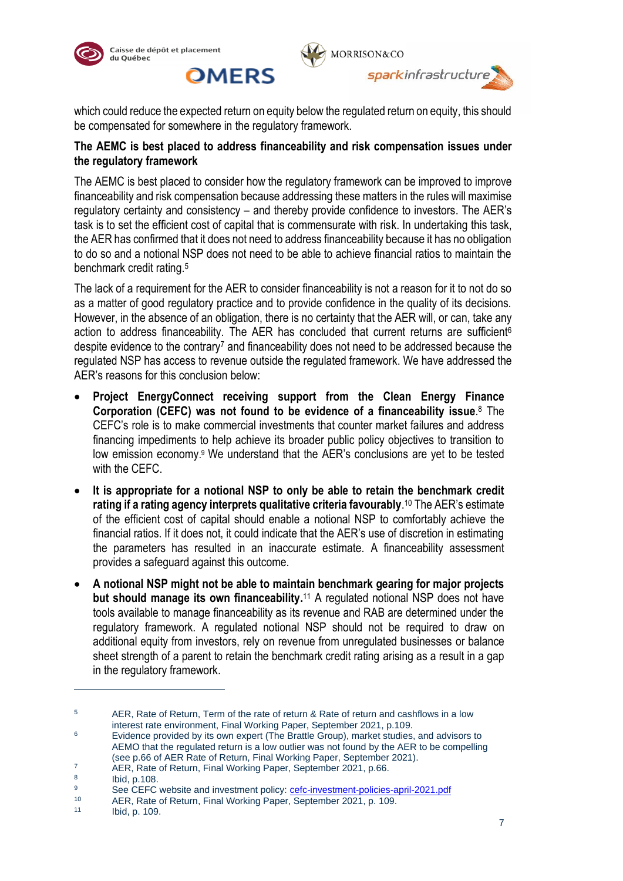

**OMERS** 



which could reduce the expected return on equity below the regulated return on equity, this should be compensated for somewhere in the regulatory framework.

## **The AEMC is best placed to address financeability and risk compensation issues under the regulatory framework**

The AEMC is best placed to consider how the regulatory framework can be improved to improve financeability and risk compensation because addressing these matters in the rules will maximise regulatory certainty and consistency – and thereby provide confidence to investors. The AER's task is to set the efficient cost of capital that is commensurate with risk. In undertaking this task, the AER has confirmed that it does not need to address financeability because it has no obligation to do so and a notional NSP does not need to be able to achieve financial ratios to maintain the benchmark credit rating.<sup>5</sup>

The lack of a requirement for the AER to consider financeability is not a reason for it to not do so as a matter of good regulatory practice and to provide confidence in the quality of its decisions. However, in the absence of an obligation, there is no certainty that the AER will, or can, take any action to address financeability. The AER has concluded that current returns are sufficient<sup>6</sup> despite evidence to the contrary<sup>7</sup> and financeability does not need to be addressed because the regulated NSP has access to revenue outside the regulated framework. We have addressed the AER's reasons for this conclusion below:

- **Project EnergyConnect receiving support from the Clean Energy Finance Corporation (CEFC) was not found to be evidence of a financeability issue**. <sup>8</sup> The CEFC's role is to make commercial investments that counter market failures and address financing impediments to help achieve its broader public policy objectives to transition to low emission economy. <sup>9</sup> We understand that the AER's conclusions are yet to be tested with the CEFC.
- **It is appropriate for a notional NSP to only be able to retain the benchmark credit rating if a rating agency interprets qualitative criteria favourably**. <sup>10</sup> The AER's estimate of the efficient cost of capital should enable a notional NSP to comfortably achieve the financial ratios. If it does not, it could indicate that the AER's use of discretion in estimating the parameters has resulted in an inaccurate estimate. A financeability assessment provides a safeguard against this outcome.
- **A notional NSP might not be able to maintain benchmark gearing for major projects but should manage its own financeability.**<sup>11</sup> A regulated notional NSP does not have tools available to manage financeability as its revenue and RAB are determined under the regulatory framework. A regulated notional NSP should not be required to draw on additional equity from investors, rely on revenue from unregulated businesses or balance sheet strength of a parent to retain the benchmark credit rating arising as a result in a gap in the regulatory framework.

<sup>5</sup> AER, Rate of Return, Term of the rate of return & Rate of return and cashflows in a low interest rate environment, Final Working Paper, September 2021, p.109.

 $6$  Evidence provided by its own expert (The Brattle Group), market studies, and advisors to AEMO that the regulated return is a low outlier was not found by the AER to be compelling (see p.66 of AER Rate of Return, Final Working Paper, September 2021).

<sup>&</sup>lt;sup>7</sup> AER, Rate of Return, Final Working Paper, September 2021, p.66.

<sup>8</sup> Ibid, p.108.

<sup>9&</sup>lt;br>See CEFC website and investment policy: <u>cefc-investment-policies-april-2021.pdf</u><br>10 AEB Bots of Boturn, Final Warking Baper, September 2021, p. 100

<sup>10</sup> AER, Rate of Return, Final Working Paper, September 2021, p. 109.

Ibid, p. 109.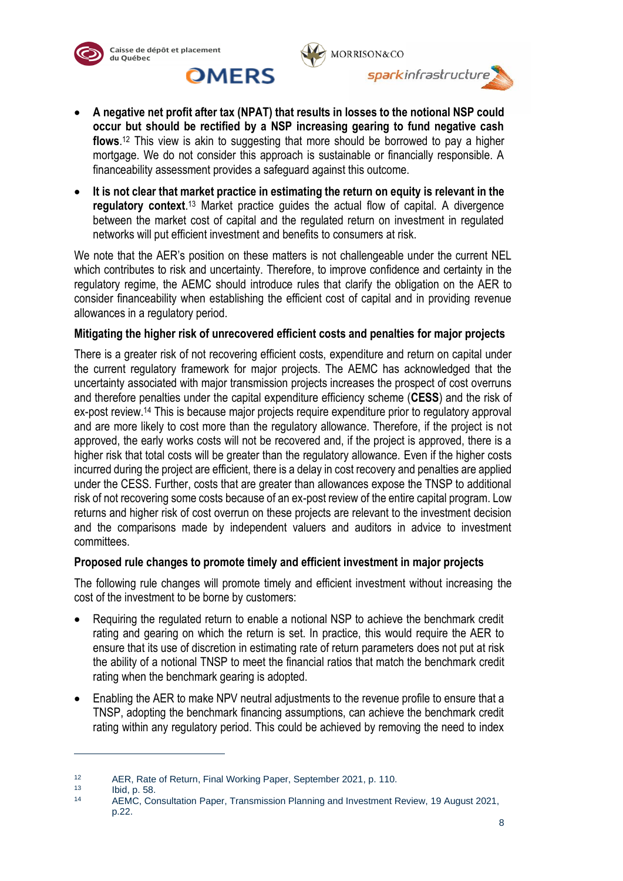





- **A negative net profit after tax (NPAT) that results in losses to the notional NSP could occur but should be rectified by a NSP increasing gearing to fund negative cash flows**. <sup>12</sup> This view is akin to suggesting that more should be borrowed to pay a higher mortgage. We do not consider this approach is sustainable or financially responsible. A financeability assessment provides a safeguard against this outcome.
- **It is not clear that market practice in estimating the return on equity is relevant in the**  regulatory context.<sup>13</sup> Market practice guides the actual flow of capital. A divergence between the market cost of capital and the regulated return on investment in regulated networks will put efficient investment and benefits to consumers at risk.

We note that the AER's position on these matters is not challengeable under the current NEL which contributes to risk and uncertainty. Therefore, to improve confidence and certainty in the regulatory regime, the AEMC should introduce rules that clarify the obligation on the AER to consider financeability when establishing the efficient cost of capital and in providing revenue allowances in a regulatory period.

## **Mitigating the higher risk of unrecovered efficient costs and penalties for major projects**

There is a greater risk of not recovering efficient costs, expenditure and return on capital under the current regulatory framework for major projects. The AEMC has acknowledged that the uncertainty associated with major transmission projects increases the prospect of cost overruns and therefore penalties under the capital expenditure efficiency scheme (**CESS**) and the risk of ex-post review.<sup>14</sup> This is because major projects require expenditure prior to regulatory approval and are more likely to cost more than the regulatory allowance. Therefore, if the project is not approved, the early works costs will not be recovered and, if the project is approved, there is a higher risk that total costs will be greater than the regulatory allowance. Even if the higher costs incurred during the project are efficient, there is a delay in cost recovery and penalties are applied under the CESS. Further, costs that are greater than allowances expose the TNSP to additional risk of not recovering some costs because of an ex-post review of the entire capital program. Low returns and higher risk of cost overrun on these projects are relevant to the investment decision and the comparisons made by independent valuers and auditors in advice to investment committees.

## **Proposed rule changes to promote timely and efficient investment in major projects**

The following rule changes will promote timely and efficient investment without increasing the cost of the investment to be borne by customers:

- Requiring the regulated return to enable a notional NSP to achieve the benchmark credit rating and gearing on which the return is set. In practice, this would require the AER to ensure that its use of discretion in estimating rate of return parameters does not put at risk the ability of a notional TNSP to meet the financial ratios that match the benchmark credit rating when the benchmark gearing is adopted.
- Enabling the AER to make NPV neutral adjustments to the revenue profile to ensure that a TNSP, adopting the benchmark financing assumptions, can achieve the benchmark credit rating within any regulatory period. This could be achieved by removing the need to index

<sup>12</sup> AER, Rate of Return, Final Working Paper, September 2021, p. 110.

 $13$  Ibid, p. 58.

<sup>14</sup> AEMC, Consultation Paper, Transmission Planning and Investment Review, 19 August 2021, p.22.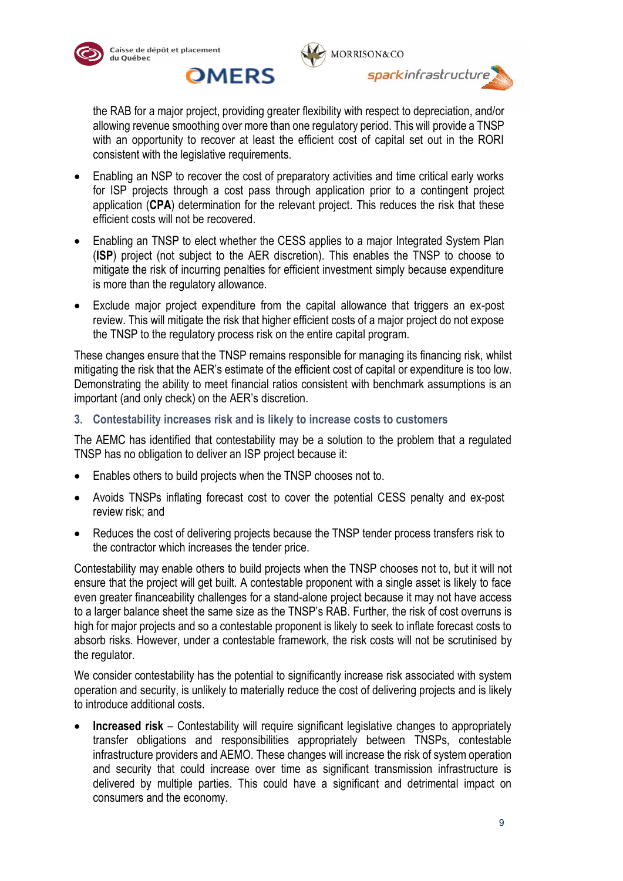

**OMERS** 





the RAB for a major project, providing greater flexibility with respect to depreciation, and/or allowing revenue smoothing over more than one regulatory period. This will provide a TNSP with an opportunity to recover at least the efficient cost of capital set out in the RORI consistent with the legislative requirements.

- Enabling an NSP to recover the cost of preparatory activities and time critical early works for ISP projects through a cost pass through application prior to a contingent project application (**CPA**) determination for the relevant project. This reduces the risk that these efficient costs will not be recovered.
- Enabling an TNSP to elect whether the CESS applies to a major Integrated System Plan (**ISP**) project (not subject to the AER discretion). This enables the TNSP to choose to mitigate the risk of incurring penalties for efficient investment simply because expenditure is more than the regulatory allowance.
- Exclude major project expenditure from the capital allowance that triggers an ex-post review. This will mitigate the risk that higher efficient costs of a major project do not expose the TNSP to the regulatory process risk on the entire capital program.

These changes ensure that the TNSP remains responsible for managing its financing risk, whilst mitigating the risk that the AER's estimate of the efficient cost of capital or expenditure is too low. Demonstrating the ability to meet financial ratios consistent with benchmark assumptions is an important (and only check) on the AER's discretion.

**3. Contestability increases risk and is likely to increase costs to customers**

The AEMC has identified that contestability may be a solution to the problem that a regulated TNSP has no obligation to deliver an ISP project because it:

- Enables others to build projects when the TNSP chooses not to.
- Avoids TNSPs inflating forecast cost to cover the potential CESS penalty and ex-post review risk; and
- Reduces the cost of delivering projects because the TNSP tender process transfers risk to the contractor which increases the tender price.

Contestability may enable others to build projects when the TNSP chooses not to, but it will not ensure that the project will get built. A contestable proponent with a single asset is likely to face even greater financeability challenges for a stand-alone project because it may not have access to a larger balance sheet the same size as the TNSP's RAB. Further, the risk of cost overruns is high for major projects and so a contestable proponent is likely to seek to inflate forecast costs to absorb risks. However, under a contestable framework, the risk costs will not be scrutinised by the regulator.

We consider contestability has the potential to significantly increase risk associated with system operation and security, is unlikely to materially reduce the cost of delivering projects and is likely to introduce additional costs.

**Increased risk** – Contestability will require significant legislative changes to appropriately transfer obligations and responsibilities appropriately between TNSPs, contestable infrastructure providers and AEMO. These changes will increase the risk of system operation and security that could increase over time as significant transmission infrastructure is delivered by multiple parties. This could have a significant and detrimental impact on consumers and the economy.